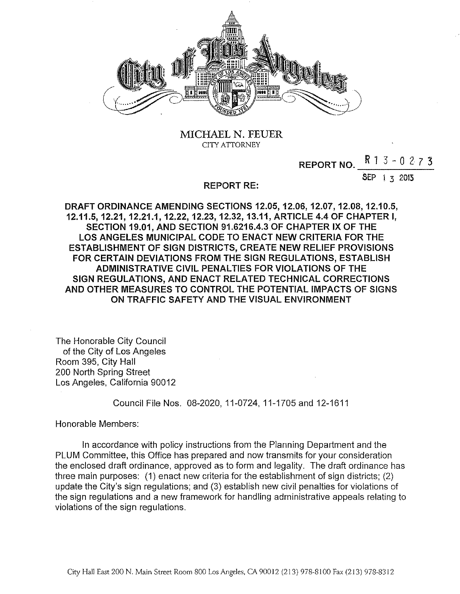

# MICHAEL N. FEUER CITY ATTORNEY

# REPORT NO.  $R$  1 3 - 0 2 7 3

SEP 1 3 2013

#### REPORT RE:

DRAFT ORDINANCE AMENDING SECTIONS 12.05, 12.06, 12.07, 12.08, 12.10.5, 12.11.5, 12.21, 12.21.1, 12.22, 12.23, 12.32, 13.11, ARTICLE 4.4 OF CHAPTER I, SECTION 19.01, AND SECTION 91.6216.4.3 OF CHAPTER IX OF THE LOS ANGELES MUNICIPAL CODE TO ENACT NEW CRITERIA FOR THE ESTABLISHMENT OF SIGN DISTRICTS, CREATE NEW RELIEF PROVISIONS FOR CERTAIN DEVIATIONS FROM THE SIGN REGULATIONS, ESTABLISH ADMINISTRATIVE CIVIL PENALTIES FOR VIOLATIONS OF THE SIGN REGULATIONS, AND ENACT RELATED TECHNICAL CORRECTIONS AND OTHER MEASURES TO CONTROL THE POTENTIAL IMPACTS OF SIGNS ON TRAFFIC SAFETY AND THE VISUAL ENVIRONMENT

The Honorable City Council of the City of Los Angeles Room 395, City Hall 200 North Spring Street Los Angeles, California 90012

Council File Nos. 08-2020, 11-0724, 11-1705 and 12-1611

Honorable Members:

In accordance with policy instructions from the Planning Department and the PLUM Committee, this Office has prepared and now transmits for your consideration the enclosed draft ordinance, approved as to form and legality. The draft ordinance has three main purposes: (1) enact new criteria for the establishment of sign districts; (2) update the City's sign regulations; and (3) establish new civil penalties for violations of the sign regulations and a new framework for handling administrative appeals relating to violations of the sign regulations.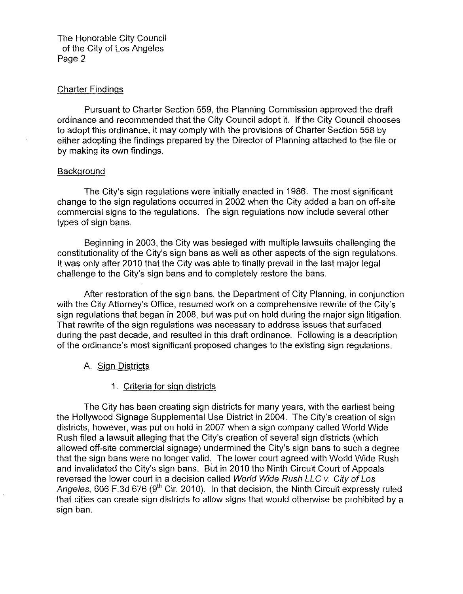## Charter Findings

Pursuant to Charter Section 559, the Planning Commission approved the draft ordinance and recommended that the City Council adopt it. If the City Council chooses to adopt this ordinance, it may comply with the provisions of Charter Section 558 by either adopting the findings prepared by the Director of Planning attached to the file or by making its own findings.

## **Background**

The City's sign regulations were initially enacted in 1986. The most significant change to the sign regulations occurred in 2002 when the City added a ban on off-site commercial signs to the regulations. The sign regulations now include several other types of sign bans.

Beginning in 2003, the City was besieged with multiple lawsuits challenging the constitutionality of the City's sign bans as well as other aspects of the sign regulations. It was only after 2010 that the City was able to finally prevail in the last major legal challenge to the City's sign bans and to completely restore the bans.

After restoration of the sign bans, the Department of City Planning, in conjunction with the City Attorney's Office, resumed work on a comprehensive rewrite of the City's sign regulations that began in 2008, but was put on hold during the major sign litigation. That rewrite of the sign regulations was necessary to address issues that surfaced during the past decade, and resulted in this draft ordinance. Following is a description of the ordinance's most significant proposed changes to the existing sign regulations.

# A. Sign Districts

# 1. Criteria for sign districts

The City has been creating sign districts for many years, with the earliest being the Hollywood Signage Supplemental Use District in 2004. The City's creation of sign districts, however, was put on hold in 2007 when a sign company called World Wide Rush filed a lawsuit alleging that the City's creation of several sign districts (which allowed off-site commercial signage) undermined the City's sign bans to such a degree that the sign bans were no longer valid. The lower court agreed with World Wide Rush and invalidated the City's sign bans. But in 2010 the Ninth Circuit Court of Appeals reversed the lower court in a decision called World Wide Rush LLC v. City of Los Angeles, 606 F.3d 676 (9<sup>th</sup> Cir. 2010). In that decision, the Ninth Circuit expressly ruled that cities can create sign districts to allow signs that would otherwise be prohibited by a sign ban.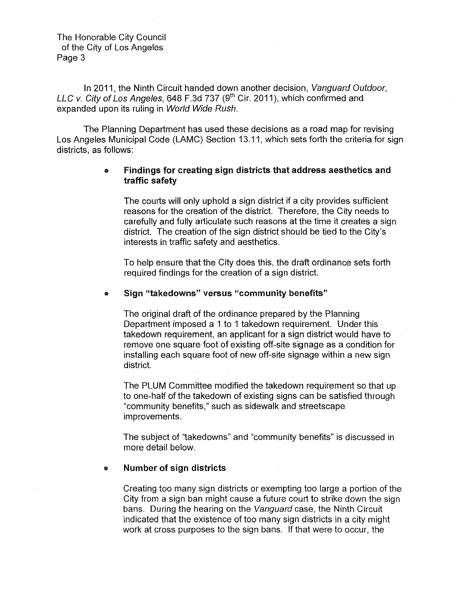In 2011, the Ninth Circuit handed down another decision, Vanguard Outdoor, LLC v. City of Los Angeles, 648 F.3d 737 (9<sup>th</sup> Cir. 2011), which confirmed and expanded upon its ruling in World Wide Rush.

The Planning Department has used these decisions as a road map for revising Los Angeles Municipal Code (LAMC) Section 13.11, which sets forth the criteria for sign districts, as follows:

# • Findings for creating sign districts that address aesthetics and traffic safety

The courts will only uphold a sign district if a city provides sufficient reasons for the creation of the district. Therefore, the City needs to carefully and fully articulate such reasons at the time it creates a sign district. The creation of the sign district should be tied to the City's interests in traffic safety and aesthetics.

To help ensure that the City does this, the draft ordinance sets forth required findings for the creation of a sign district

# • Sign "takedowns" versus "community benefits"

The original draft of the ordinance prepared by the Planning Department imposed a 1 to 1 takedown requirement. Under this takedown requirement, an applicant for a sign district would have to remove one square foot of existing off-site signage as a condition for installing each square foot of new off-site signage within a new sign district.

The PLUM Committee modified the takedown requirement so that up to one-half of the takedown of existing signs can be satisfied through "community benefits," such as sidewalk and streetscape improvements.

The subject of "takedowns" and "community benefits" is discussed in more detail below.

# • Number of sign districts

Creating too many sign districts or exempting too large a portion of the City from a sign ban might cause a future court to strike down the sign bans. During the hearing on the Vanguard case, the Ninth Circuit indicated that the existence of too many sign districts in a city might work at cross purposes to the sign bans. If that were to occur, the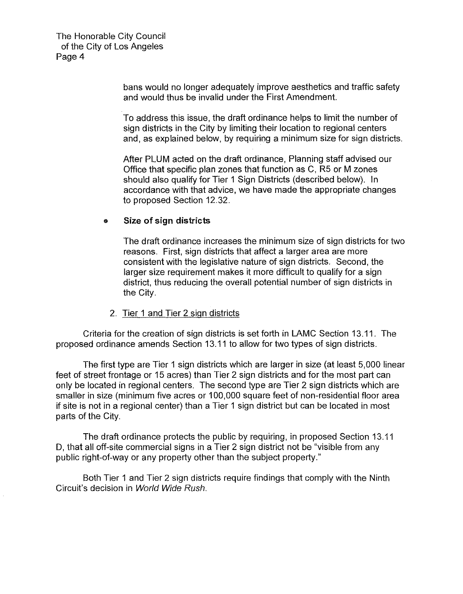> bans would no longer adequately improve aesthetics and traffic safety and would thus be invalid under the First Amendment.

> To address this issue, the draft ordinance helps to limit the number of sign districts in the City by limiting their location to regional centers and, as explained below, by requiring a minimum size for sign districts.

After PLUM acted on the draft ordinance, Planning staff advised our Office that specific plan zones that function as C, R5 or M zones should also qualify for Tier 1 Sign Districts (described below). In accordance with that advice, we have made the appropriate changes to proposed Section 12.32.

# ,. **Size of sign districts**

The draft ordinance increases the minimum size of sign districts for two reasons. First, sign districts that affect a larger area are more consistent with the legislative nature of sign districts. Second, the larger size requirement makes it more difficult to qualify for a sign district, thus reducing the overall potential number of sign districts in the City.

## 2. Tier 1 and Tier 2 sign districts

Criteria for the creation of sign districts is set forth in LAMC Section 13.11. The proposed ordinance amends Section 13.11 to allow for two types of sign districts.

The first type are Tier 1 sign districts which are larger in size (at least 5,000 linear feet of street frontage or 15 acres) than Tier 2 sign districts and for the most part can only be located in regional centers. The second type are Tier 2 sign districts which are smaller in size (minimum five acres or 100,000 square feet of non-residential floor area if site is not in a regional center) than a Tier 1 sign district but can be located in most parts of the City.

The draft ordinance protects the public by requiring, in proposed Section 13.11 D, that all off-site commercial signs in a Tier 2 sign district not be "visible from any public right-of-way or any property other than the subject property."

Both Tier 1 and Tier 2 sign districts require findings that comply with the Ninth Circuit's decision in World Wide Rush.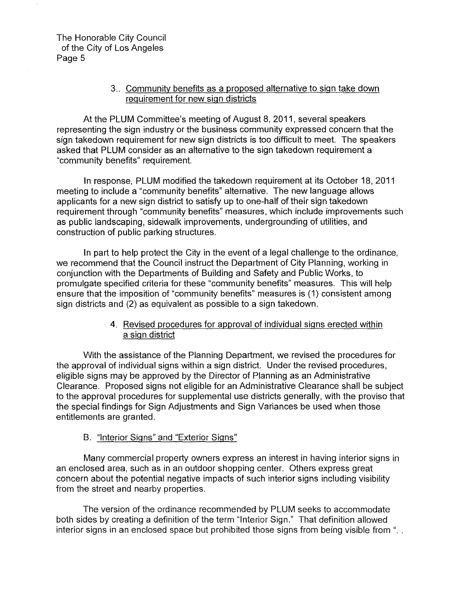# 3 .. Community benefits as a proposed alternative to sign take down requirement for new sign districts

At the PLUM Committee's meeting of August 8, 2011, several speakers representing the sign industry or the business community expressed concern that the sign takedown requirement for new sign districts is too difficult to meet. The speakers asked that PLUM consider as an alternative to the sign takedown requirement a "community benefits" requirement.

In response, PLUM modified the takedown requirement at its October 18, 2011 meeting to include a "community benefits" alternative. The new language allows applicants for a new sign district to satisfy up to one-half of their sign takedown requirement through "community benefits" measures, which include improvements such as public landscaping, sidewalk improvements, undergrounding of utilities, and construction of public parking structures.

In part to help protect the City in the event of a legal challenge to the ordinance, we recommend that the Council instruct the Department of City Planning, working in conjunction with the Departments of Building and Safety and Public Works, to promulgate specified criteria for these "community benefits" measures. This will help ensure that the imposition of "community benefits" measures is (1) consistent among sign districts and (2) as equivalent as possible to a sign takedown.

# 4. Revised procedures for approval of individual signs erected within a sign district

With the assistance of the Planning Department, we revised the procedures for the approval of individual signs within a sign district. Under the revised procedures, eligible signs may be approved by the Director of Planning as an Administrative Clearance. Proposed signs not eligible for an Administrative Clearance shall be subject to the approval procedures for supplemental use districts generally, with the proviso that the special findings for Sign Adjustments and Sign Variances be used when those entitlements are granted.

# B. "Interior Signs" and "Exterior Signs"

Many commercial property owners express an interest in having interior signs in an enclosed area, such as in an outdoor shopping center. Others express great concern about the potential negative impacts of such interior signs including visibility from the street and nearby properties.

The version of the ordinance recommended by PLUM seeks to accommodate both sides by creating a definition of the term "Interior Sign." That definition allowed interior signs in an enclosed space but prohibited those signs from being visible from "...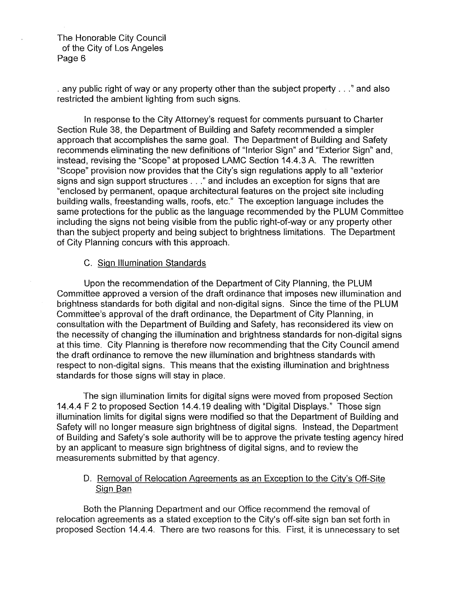. any public right of way or any property other than the subject property ... " and also restricted the ambient lighting from such signs.

In response to the City Attorney's request for comments pursuant to Charter Section Rule 38, the Department of Building and Safety recommended a simpler approach that accomplishes the same goal. The Department of Building and Safety recommends eliminating the new definitions of "Interior Sign" and "Exterior Sign" and, instead, revising the "Scope" at proposed LAMC Section 14.4.3 A. The rewritten "Scope" provision now provides that the City's sign regulations apply to all "exterior signs and sign support structures ... "and includes an exception for signs that are "enclosed by permanent, opaque architectural features on the project site including building walls, freestanding walls, roofs, etc." The exception language includes the same protections for the public as the language recommended by the PLUM Committee including the signs not being visible from the public right-of-way or any property other than the subject property and being subject to brightness limitations. The Department of City Planning concurs with this approach.

#### C. Sign Illumination Standards

Upon the recommendation of the Department of City Planning, the PLUM Committee approved a version of the draft ordinance that imposes new illumination and brightness standards for both digital and non-digital signs. Since the time of the PLUM Committee's approval of the draft ordinance, the Department of City Planning, in consultation with the Department of Building and Safety, has reconsidered its view on the necessity of changing the illumination and brightness standards for non-digital signs at this time. City Planning is therefore now recommending that the City Council amend the draft ordinance to remove the new illumination and brightness standards with respect to non-digital signs. This means that the existing illumination and brightness standards for those signs will stay in place.

The sign illumination limits for digital signs were moved from proposed Section 14.4.4 F 2 to proposed Section 14.4.19 dealing with "Digital Displays." Those sign illumination limits for digital signs were modified so that the Department of Building and Safety will no longer measure sign brightness of digital signs. Instead, the Department of Building and Safety's sole authority will be to approve the private testing agency hired by an applicant to measure sign brightness of digital signs, and to review the measurements submitted by that agency.

# D. Removal of Relocation Agreements as an Exception to the City's Off-Site Sign Ban

Both the Planning Department and our Office recommend the removal of relocation agreements as a stated exception to the City's off-site sign ban set forth in proposed Section 14.4.4. There are two reasons for this. First, it is unnecessary to set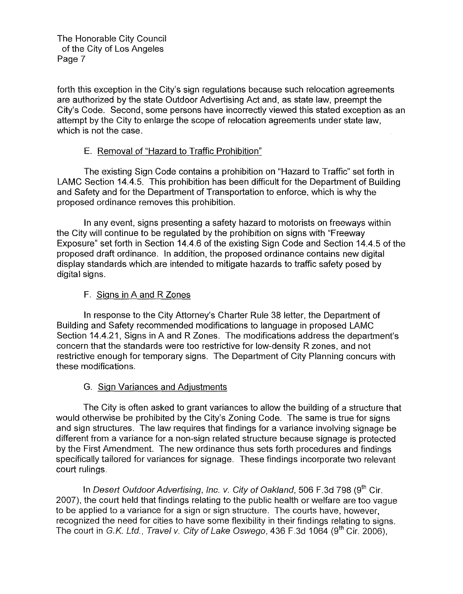forth this exception in the City's sign regulations because such relocation agreements are authorized by the state Outdoor Advertising Act and, as state law, preempt the City's Code. Second, some persons have incorrectly viewed this stated exception as an attempt by the City to enlarge the scope of relocation agreements under state law, which is not the case.

# E. Removal of "Hazard to Traffic Prohibition"

The existing Sign Code contains a prohibition on "Hazard to Traffic" set forth in LAMC Section 14.4.5. This prohibition has been difficult for the Department of Building and Safety and for the Department of Transportation to enforce, which is why the proposed ordinance removes this prohibition.

In any event, signs presenting a safety hazard to motorists on freeways within the City will continue to be regulated by the prohibition on signs with "Freeway Exposure" set forth in Section 14.4.6 of the existing Sign Code and Section 14.4.5 of the proposed draft ordinance. In addition, the proposed ordinance contains new digital display standards which .are intended to mitigate hazards to traffic safety posed by digital signs.

# F. Signs in A and R Zones

In response to the City Attorney's Charter Rule 38 letter, the Department of Building and Safety recommended modifications to language in proposed LAMC Section 14.4.21, Signs in A and R Zones. The modifications address the department's concern that the standards were too restrictive for low-density R zones, and not restrictive enough for temporary signs. The Department of City Planning concurs with these modifications.

# G. Sign Variances and Adjustments

The City is often asked to grant variances to allow the building of a structure that would otherwise be prohibited by the City's Zoning Code. The same is true for signs and sign structures. The law requires that findings for a variance involving signage be different from a variance for a non-sign related structure because signage is protected by the First Amendment. The new ordinance thus sets forth procedures and findings specifically tailored for variances for signage. These findings incorporate two relevant court rulings.

In Desert Outdoor Advertising, Inc. v. City of Oakland, 506 F.3d 798 (9<sup>th</sup> Cir. 2007), the court held that findings relating to the public health or welfare are too vague to be applied to a variance for a sign or sign structure. The courts have, however, recognized the need for cities to have some flexibility in their findings relating to signs. The court in G.K. Ltd., Travel v. City of Lake Oswego, 436 F.3d 1064 (9<sup>th</sup> Cir. 2006),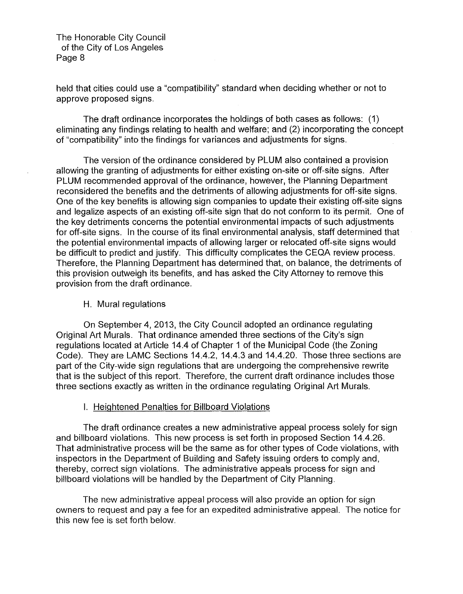held that cities could use a "compatibility" standard when deciding whether or not to approve proposed signs.

The draft ordinance incorporates the holdings of both cases as follows: (1) eliminating any findings relating to health and welfare; and (2) incorporating the concept of "compatibility" into the findings for variances and adjustments for signs.

The version of the ordinance considered by PLUM also contained a provision allowing the granting of adjustments for either existing on-site or off-site signs. After PLUM recommended approval of the ordinance, however, the Planning Department reconsidered the benefits and the detriments of allowing adjustments for off-site signs. One of the key benefits is allowing sign companies to update their existing off-site signs and legalize aspects of an existing off-site sign that do not conform to its permit. One of the key detriments concerns the potential environmental impacts of such adjustments for off-site signs. In the course of its final environmental analysis, staff determined that the potential environmental impacts of allowing larger or relocated off-site signs would be difficult to predict and justify. This difficulty complicates the CEQA review process. Therefore, the Planning Department has determined that, on balance, the detriments of this provision outweigh its benefits, and has asked the City Attorney to remove this provision from the draft ordinance.

# H. Mural regulations

On September 4, 2013, the City Council adopted an ordinance regulating Original Art Murals. That ordinance amended three sections of the City's sign regulations located at Article 14.4 of Chapter 1 of the Municipal Code (the Zoning Code). They are LAMC Sections 14.4.2, 14.4.3 and 14.4.20. Those three sections are part of the City-wide sign regulations that are undergoing the comprehensive rewrite that is the subject of this report. Therefore, the current draft ordinance includes those three sections exactly as written in the ordinance regulating Original Art Murals.

# I. Heightened Penalties for Billboard Violations

The draft ordinance creates a new administrative appeal process solely for sign and billboard violations. This new process is set forth in proposed Section 14.4.26. That administrative process will be the same as for other types of Code violations, with inspectors in the Department of Building and Safety issuing orders to comply and, thereby, correct sign violations. The administrative appeals process for sign and billboard violations will be handled by the Department of City Planning.

The new administrative appeal process will also provide an option for sign owners to request and pay a fee for an expedited administrative appeal. The notice for this new fee is set forth below.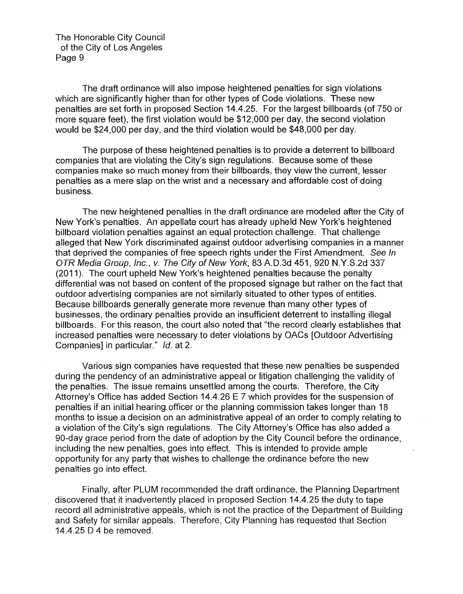The draft ordinance will also impose heightened penalties for sign violations which are significantly higher than for other types of Code violations. These new penalties are set forth in proposed Section 14.4.25. For the largest billboards (of 750 or more square feet), the first violation would be \$12,000 per day, the second violation would be \$24,000 per day, and the third violation would be \$48,000 per day.

The purpose of these heightened penalties is to provide a deterrent to billboard companies that are violating the City's sign regulations. Because some of these companies make so much money from their billboards, they view the current, lesser penalties as a mere slap on the wrist and a necessary and affordable cost of doing business.

The new heightened penalties in the draft ordinance are modeled after the City of New York's penalties. An appellate court has already upheld New York's heightened billboard violation penalties against an equal protection challenge. That challenge alleged that New York discriminated against outdoor advertising companies in a manner that deprived the companies of free speech rights under the First Amendment. See In OTR Media Group, Inc., v. The City of New York, 83 A.D.3d 451, 920 N.Y.S.2d 337 (2011). The court upheld New York's heightened penalties because the penalty differential was not based on content of the proposed signage but rather on the fact that outdoor advertising companies are not similarly situated to other types of entities. Because billboards generally generate more revenue than many other types of businesses, the ordinary penalties provide an insufficient deterrent to installing illegal billboards. For this reason, the court also noted that "the record clearly establishes that increased penalties were necessary to deter violations by OACs (Outdoor Advertising Companies] in particular." */d.* at 2.

Various sign companies have requested that these new penalties be suspended during the pendency of an administrative appeal or litigation challenging the validity of the penalties. The issue remains unsettled among the courts. Therefore, the City Attorney's Office has added Section 14.4.26 E 7 which provides for the suspension of penalties if an initial hearing officer or the planning commission takes longer than 18 months to issue a decision on an administrative appeal of an order to comply relating to a violation of the City's sign regulations. The City Attorney's Office has also added a 90-day grace period from the date of adoption by the City Council before the ordinance, including the new penalties, goes into effect. This is intended to provide ample opportunity for any party that wishes to challenge the ordinance before the new penalties go into effect.

Finally, after PLUM recommended the draft ordinance, the Planning Department discovered that it inadvertently placed in proposed Section 14.4.25 the duty to tape record all administrative appeals, which is not the practice of the Department of Building and Safety for similar appeals. Therefore, City Planning has requested that Section 14.4.25 D 4 be removed.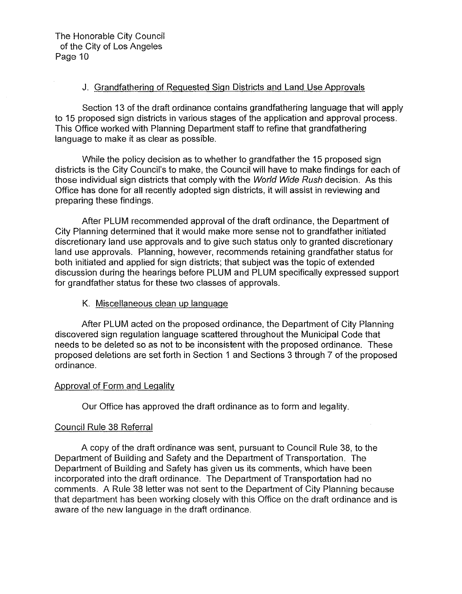# J. Grandfathering of Requested Sign Districts and Land Use Approvals

Section 13 of the draft ordinance contains grandfathering language that will apply to 15 proposed sign districts in various stages of the application and approval process. This Office worked with Planning Department staff to refine that grandfathering language to make it as clear as possible.

While the policy decision as to whether to grandfather the 15 proposed sign districts is the City Council's to make, the Council will have to make findings for each of those individual sign districts that comply with the World Wide Rush decision. As this Office has done for all recently adopted sign districts, it will assist in reviewing and preparing these findings.

After PLUM recommended approval of the draft ordinance, the Department of City Planning determined that it would make more sense not to grandfather initiated discretionary land use approvals and to give such status only to granted discretionary land use approvals. Planning, however, recommends retaining grandfather status for both initiated and applied for sign districts; that subject was the topic of extended discussion during the hearings before PLUM and PLUM specifically expressed support for grandfather status for these two classes of approvals.

# K. Miscellaneous clean up language

After PLUM acted on the proposed ordinance, the Department of City Planning discovered sign regulation language scattered throughout the Municipal Code that needs to be deleted so as not to be inconsistent with the proposed ordinance. These proposed deletions are set forth in Section 1 and Sections 3 through 7 of the proposed ordinance.

## Approval of Form and Legality

Our Office has approved the draft ordinance as to form and legality.

# Council Rule 38 Referral

A copy of the draft ordinance was sent, pursuant to Council Rule 38, to the Department of Building and Safety and the Department of Transportation. The Department of Building and Safety has given us its comments, which have been incorporated into the draft ordinance. The Department of Transportation had no comments. A Rule 38 letter was not sent to the Department of City Planning because that department has been working closely with this Office on the draft ordinance and is aware of the new language in the draft ordinance.